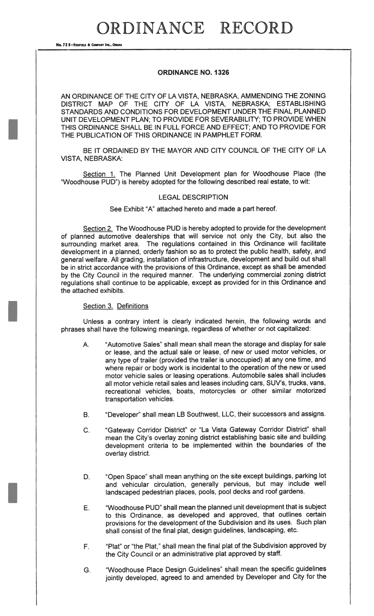# ORDINANCE RECORD

No. 72 8-REDFIELD & COMPANY INC., OMAN

## ORDINANCE NO. 1326

AN ORDINANCE OF THE CITY OF LA VISTA, NEBRASKA, AMMENDING THE ZONING DISTRICT MAP OF THE CITY OF LA VISTA, NEBRASKA; ESTABLISHING STANDARDS AND CONDITIONS FOR DEVELOPMENT UNDER THE FINAL PLANNED UNIT DEVELOPMENT PLAN; TO PROVIDE FOR SEVERABILITY; TO PROVIDE WHEN THIS ORDINANCE SHALL BE IN FULL FORCE AND EFFECT; AND TO PROVIDE FOR THE PUBLICATION OF THIS ORDINANCE IN PAMPHLET FORM.

BE IT ORDAINED BY THE MAYOR AND CITY COUNCIL OF THE CITY OF LA VISTA, NEBRASKA:

Section 1. The Planned Unit Development plan for Woodhouse Place (the "Woodhouse PUD") is hereby adopted for the following described real estate, to wit:

#### LEGAL DESCRIPTION

See Exhibit "A" attached hereto and made a part hereof.

Section 2. The Woodhouse PUD is hereby adopted to provide for the development of planned automotive dealerships that will service not only the City, but also the surrounding market area. The regulations contained in this Ordinance will facilitate development in a planned, orderly fashion so as to protect the public health, safety, and general welfare. All grading, installation of infrastructure, development and build out shall be in strict accordance with the provisions of this Ordinance, except as shall be amended by the City Council in the required manner. The underlying commercial zoning district regulations shall continue to be applicable, except as provided for in this Ordinance and the attached exhibits.

### Section 3. Definitions

Unless a contrary intent is clearly indicated herein, the following words and phrases shall have the following meanings, regardless of whether or not capitalized:

- A. "Automotive Sales" shall mean shall mean the storage and display for sale or lease, and the actual sale or lease, of new or used motor vehicles, or any type of trailer (provided the trailer is unoccupied) at any one time, and where repair or body work is incidental to the operation of the new or used motor vehicle sales or leasing operations. Automobile sales shall includes all motor vehicle retail sales and leases including cars, SUV's, trucks, vans, recreational vehicles, boats, motorcycles or other similar motorized transportation vehicles.
- B. "Developer" shall mean LB Southwest, LLC, their successors and assigns.
- C. "Gateway Corridor District" or "La Vista Gateway Corridor District" shall mean the City's overlay zoning district establishing basic site and building development criteria to be implemented within the boundaries of the overlay district.
- D. "Open Space" shall mean anything on the site except buildings, parking lot and vehicular circulation, generally pervious, but may include well landscaped pedestrian places, pools, pool decks and roof gardens.
- E. "Woodhouse PUD" shall mean the planned unit development that is subject to this Ordinance, as developed and approved, that outlines certain provisions for the development of the Subdivision and its uses. Such plan shall consist of the final plat, design guidelines, landscaping, etc.
- F. "Plat" or "the Plat," shall mean the final plat of the Subdivision approved by the City Council or an administrative plat approved by staff.
- G. "Woodhouse Place Design Guidelines" shall mean the specific guidelines jointly developed, agreed to and amended by Developer and City for the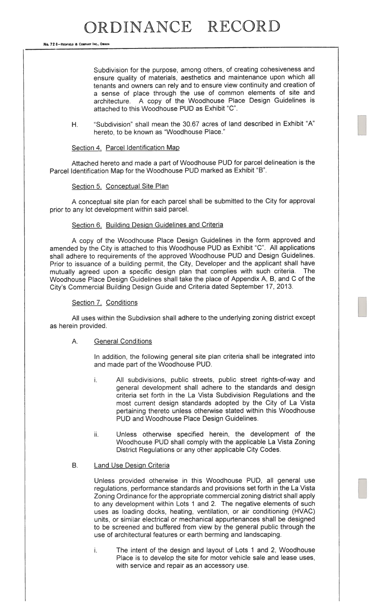No. 72 8-REDFIELD & COMPANY INC., OMAHA

Subdivision for the purpose, among others, of creating cohesiveness and ensure quality of materials, aesthetics and maintenance upon which all tenants and owners can rely and to ensure view continuity and creation of <sup>a</sup> sense of <sup>p</sup>lace through the use of common elements of site and architecture. <sup>A</sup> copy of the Woodhouse Place Design Guidelines is attached to this Woodhouse PUD as Exhibit "C".

H. "Subdivision" shall mean the 30.67 acres of land described in Exhibit "A" hereto, to be known as "Woodhouse Place."

Section 4. Parcel Identification Map

Attached hereto and made <sup>a</sup> par<sup>t</sup> of Woodhouse PUD for parce<sup>l</sup> delineation is the Parcel Identification Map for the Woodhouse PUD marked as Exhibit "B".

### Section 5. Conceptual Site Plan

A conceptual site <sup>p</sup>lan for each parce<sup>l</sup> shall be submitted to the City for approva<sup>l</sup> prior to any lot development within said parcel.

## Section 6. Building Design Guidelines and Criteria

A copy of the Woodhouse Place Design Guidelines in the form approve<sup>d</sup> and amended by the City is attached to this Woodhouse PUD as Exhibit "C". All applications shall adhere to requirements of the approve<sup>d</sup> Woodhouse PUD and Design Guidelines. Prior to issuance of <sup>a</sup> building permit, the City, Developer and the applicant shall have mutually agree<sup>d</sup> upon <sup>a</sup> specific design <sup>p</sup>lan that complies with such criteria. The Woodhouse Place Design Guidelines shall take the <sup>p</sup>lace of Appendix A, B, and C of the City's Commercial Building Design Guide and Criteria dated September 17, 2013.

### Section 7. Conditions

All uses within the Subdivsion shall adhere to the underlying zoning district excep<sup>t</sup> as herein provided.

### A. General Conditions

In addition, the following genera<sup>l</sup> site <sup>p</sup>lan criteria shall be integrated into and made par<sup>t</sup> of the Woodhouse PUD.

- i. All subdivisions, public streets, public street rights-of-way and general development shall adhere to the standards and design criteria set forth in the La Vista Subdivision Regulations and the most current design standards adopted by the City of La Vista pertaining thereto unless otherwise stated within this Woodhouse PUD and Woodhouse Place Design Guidelines.
- ii. Unless otherwise specified herein, the development of the Woodhouse PUD shall comply with the applicable La Vista Zoning District Regulations or any other applicable City Codes.

### B. Land Use Design Criteria

Unless provided otherwise in this Woodhouse PUD, all genera<sup>l</sup> use regulations, performance standards and provisions set forth in the La Vista Zoning Ordinance for the appropriate commercial zoning district shall apply to any development within Lots <sup>1</sup> and 2. The negative elements of such uses as loading docks, heating, ventilation, or air conditioning (HVAC) units, or similar electrical or mechanical appurtenances shall be designed to be screened and buffered from view by the general public through the use of architectural features or earth berming and landscaping.

The intent of the design and layout of Lots 1 and 2, Woodhouse i. Place is to develop the site for motor vehicle sale and lease uses, with service and repair as an accessory use.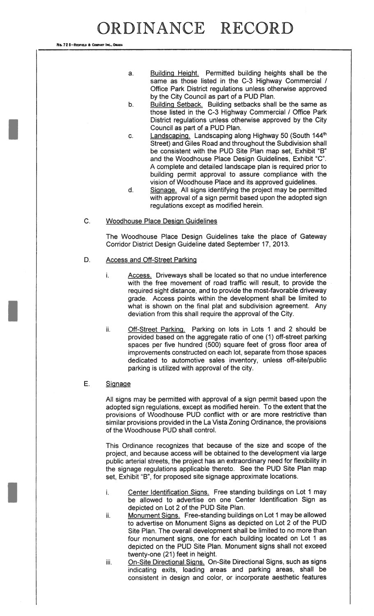No. 72 8-REDFIELD & COMPANY INC., OMAN

- a. Building Height. Permitted building heights shall be the same as those listed in the C-3 Highway Commercial / Office Park District regulations unless otherwise approved by the City Council as part of a PUD Plan.
- b. Building Setback. Building setbacks shall be the same as those listed in the C-3 Highway Commercial / Office Park District regulations unless otherwise approved by the City Council as part of a PUD Plan.
- c. Landscaping. Landscaping along Highway 50 (South 144<sup>th</sup> Street) and Giles Road and throughout the Subdivision shall be consistent with the PUD Site Plan map set, Exhibit "B" and the Woodhouse Place Design Guidelines, Exhibit "C". A complete and detailed landscape plan is required prior to building permit approval to assure compliance with the vision of Woodhouse Place and its approved guidelines.
- d. Signage. All signs identifying the project may be permitted with approval of a sign permit based upon the adopted sign regulations except as modified herein.

## C. Woodhouse Place Design Guidelines

The Woodhouse Place Design Guidelines take the place of Gateway Corridor District Design Guideline dated September 17, 2013.

- D. Access and Off-Street Parking
	- i. Access. Driveways shall be located so that no undue interference with the free movement of road traffic will result, to provide the required sight distance, and to provide the most-favorable driveway grade. Access points within the development shall be limited to what is shown on the final plat and subdivision agreement. Any deviation from this shall require the approval of the City.
	- ii. Off-Street Parking. Parking on lots in Lots 1 and 2 should be provided based on the aggregate ratio of one (1) off-street parking spaces per five hundred (500) square feet of gross floor area of improvements constructed on each lot, separate from those spaces dedicated to automotive sales inventory, unless off-site/public parking is utilized with approval of the city.

### E. Signage

All signs may be permitted with approval of a sign permit based upon the adopted sign regulations, except as modified herein. To the extent that the provisions of Woodhouse PUD conflict with or are more restrictive than similar provisions provided in the La Vista Zoning Ordinance, the provisions of the Woodhouse PUD shall control.

This Ordinance recognizes that because of the size and scope of the project, and because access will be obtained to the development via large public arterial streets, the project has an extraordinary need for flexibility in the signage regulations applicable thereto. See the PUD Site Plan map set, Exhibit "B", for proposed site signage approximate locations.

- i. Center Identification Signs. Free standing buildings on Lot <sup>I</sup> may be allowed to advertise on one Center Identification Sign as depicted on Lot 2 of the PUD Site Plan.
- ii. Monument Signs. Free-standing buildings on Lot <sup>I</sup> may be allowed to advertise on Monument Signs as depicted on Lot 2 of the PUD Site Plan. The overall development shall be limited to no more than four monument signs, one for each building located on Lot <sup>I</sup> as depicted on the PUD Site Plan. Monument signs shall not exceed twenty-one (21) feet in height.
- iii. On-Site Directional Signs. On-Site Directional Signs, such as signs indicating exits, loading areas and parking areas, shall be consistent in design and color, or incorporate aesthetic features